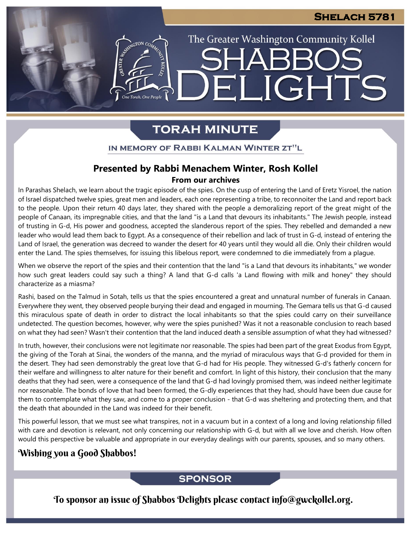### **Shelach 5781**

The Greater Washington Community Kollel

IGHTS

# **TORAH MINUTE**

FI

IN MEMORY OF RABBI KALMAN WINTER ZT"L

## **Presented by Rabbi Menachem Winter, Rosh Kollel From our archives**

In Parashas Shelach, we learn about the tragic episode of the spies. On the cusp of entering the Land of Eretz Yisroel, the nation of Israel dispatched twelve spies, great men and leaders, each one representing a tribe, to reconnoiter the Land and report back to the people. Upon their return 40 days later, they shared with the people a demoralizing report of the great might of the people of Canaan, its impregnable cities, and that the land "is a Land that devours its inhabitants." The Jewish people, instead of trusting in G-d, His power and goodness, accepted the slanderous report of the spies. They rebelled and demanded a new leader who would lead them back to Egypt. As a consequence of their rebellion and lack of trust in G-d, instead of entering the Land of Israel, the generation was decreed to wander the desert for 40 years until they would all die. Only their children would enter the Land. The spies themselves, for issuing this libelous report, were condemned to die immediately from a plague.

When we observe the report of the spies and their contention that the land "is a Land that devours its inhabitants," we wonder how such great leaders could say such a thing? A land that G-d calls 'a Land flowing with milk and honey" they should characterize as a miasma?

Rashi, based on the Talmud in Sotah, tells us that the spies encountered a great and unnatural number of funerals in Canaan. Everywhere they went, they observed people burying their dead and engaged in mourning. The Gemara tells us that G-d caused this miraculous spate of death in order to distract the local inhabitants so that the spies could carry on their surveillance undetected. The question becomes, however, why were the spies punished? Was it not a reasonable conclusion to reach based on what they had seen? Wasn't their contention that the land induced death a sensible assumption of what they had witnessed?

In truth, however, their conclusions were not legitimate nor reasonable. The spies had been part of the great Exodus from Egypt, the giving of the Torah at Sinai, the wonders of the manna, and the myriad of miraculous ways that G-d provided for them in the desert. They had seen demonstrably the great love that G-d had for His people. They witnessed G-d's fatherly concern for their welfare and willingness to alter nature for their benefit and comfort. In light of this history, their conclusion that the many deaths that they had seen, were a consequence of the land that G-d had lovingly promised them, was indeed neither legitimate nor reasonable. The bonds of love that had been formed, the G-dly experiences that they had, should have been due cause for them to contemplate what they saw, and come to a proper conclusion - that G-d was sheltering and protecting them, and that the death that abounded in the Land was indeed for their benefit.

This powerful lesson, that we must see what transpires, not in a vacuum but in a context of a long and loving relationship filled with care and devotion is relevant, not only concerning our relationship with G-d, but with all we love and cherish. How often would this perspective be valuable and appropriate in our everyday dealings with our parents, spouses, and so many others.

## Wishing you a Good Shabbos!

### **SPONSOR**

To sponsor an issue of Shabbos Delights please contact info@gwckollel.org.